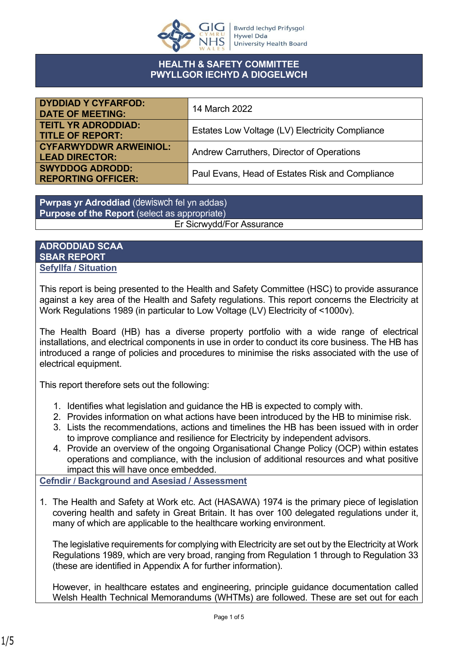

### **HEALTH & SAFETY COMMITTEE PWYLLGOR IECHYD A DIOGELWCH**

| <b>DYDDIAD Y CYFARFOD:</b><br><b>DATE OF MEETING:</b>  | 14 March 2022                                   |
|--------------------------------------------------------|-------------------------------------------------|
| <b>TEITL YR ADRODDIAD:</b><br><b>TITLE OF REPORT:</b>  | Estates Low Voltage (LV) Electricity Compliance |
| <b>CYFARWYDDWR ARWEINIOL:</b><br><b>LEAD DIRECTOR:</b> | Andrew Carruthers, Director of Operations       |
| <b>SWYDDOG ADRODD:</b><br><b>REPORTING OFFICER:</b>    | Paul Evans, Head of Estates Risk and Compliance |

**Pwrpas yr Adroddiad** (dewiswch fel yn addas) **Purpose of the Report** (select as appropriate) Er Sicrwydd/For Assurance

**ADRODDIAD SCAA SBAR REPORT Sefyllfa / Situation** 

This report is being presented to the Health and Safety Committee (HSC) to provide assurance against a key area of the Health and Safety regulations. This report concerns the Electricity at Work Regulations 1989 (in particular to Low Voltage (LV) Electricity of <1000v).

The Health Board (HB) has a diverse property portfolio with a wide range of electrical installations, and electrical components in use in order to conduct its core business. The HB has introduced a range of policies and procedures to minimise the risks associated with the use of electrical equipment.

This report therefore sets out the following:

- 1. Identifies what legislation and guidance the HB is expected to comply with.
- 2. Provides information on what actions have been introduced by the HB to minimise risk.
- 3. Lists the recommendations, actions and timelines the HB has been issued with in order to improve compliance and resilience for Electricity by independent advisors.
- 4. Provide an overview of the ongoing Organisational Change Policy (OCP) within estates operations and compliance, with the inclusion of additional resources and what positive impact this will have once embedded.

**Cefndir / Background and Asesiad / Assessment**

1. The Health and Safety at Work etc. Act (HASAWA) 1974 is the primary piece of legislation covering health and safety in Great Britain. It has over 100 delegated regulations under it, many of which are applicable to the healthcare working environment.

The legislative requirements for complying with Electricity are set out by the Electricity at Work Regulations 1989, which are very broad, ranging from Regulation 1 through to Regulation 33 (these are identified in Appendix A for further information).

However, in healthcare estates and engineering, principle guidance documentation called Welsh Health Technical Memorandums (WHTMs) are followed. These are set out for each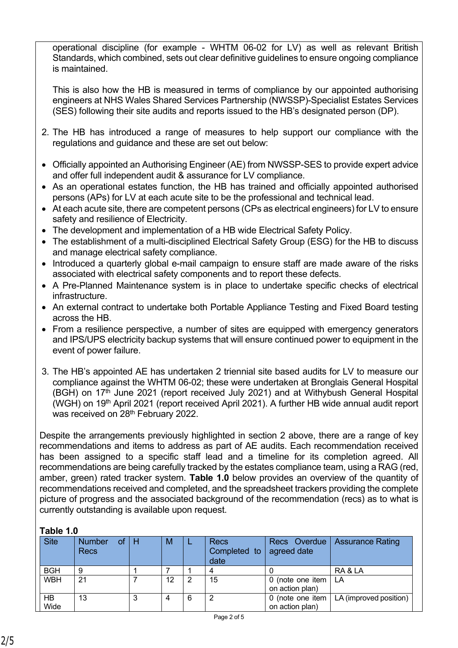operational discipline (for example - WHTM 06-02 for LV) as well as relevant British Standards, which combined, sets out clear definitive guidelines to ensure ongoing compliance is maintained.

This is also how the HB is measured in terms of compliance by our appointed authorising engineers at NHS Wales Shared Services Partnership (NWSSP)-Specialist Estates Services (SES) following their site audits and reports issued to the HB's designated person (DP).

- 2. The HB has introduced a range of measures to help support our compliance with the regulations and guidance and these are set out below:
- Officially appointed an Authorising Engineer (AE) from NWSSP-SES to provide expert advice and offer full independent audit & assurance for LV compliance.
- As an operational estates function, the HB has trained and officially appointed authorised persons (APs) for LV at each acute site to be the professional and technical lead.
- At each acute site, there are competent persons (CPs as electrical engineers) for LV to ensure safety and resilience of Electricity.
- The development and implementation of a HB wide Electrical Safety Policy.
- The establishment of a multi-disciplined Electrical Safety Group (ESG) for the HB to discuss and manage electrical safety compliance.
- Introduced a quarterly global e-mail campaign to ensure staff are made aware of the risks associated with electrical safety components and to report these defects.
- A Pre-Planned Maintenance system is in place to undertake specific checks of electrical infrastructure.
- An external contract to undertake both Portable Appliance Testing and Fixed Board testing across the HB.
- From a resilience perspective, a number of sites are equipped with emergency generators and IPS/UPS electricity backup systems that will ensure continued power to equipment in the event of power failure.
- 3. The HB's appointed AE has undertaken 2 triennial site based audits for LV to measure our compliance against the WHTM 06-02; these were undertaken at Bronglais General Hospital (BGH) on 17<sup>th</sup> June 2021 (report received July 2021) and at Withybush General Hospital (WGH) on 19<sup>th</sup> April 2021 (report received April 2021). A further HB wide annual audit report was received on 28<sup>th</sup> February 2022.

Despite the arrangements previously highlighted in section 2 above, there are a range of key recommendations and items to address as part of AE audits. Each recommendation received has been assigned to a specific staff lead and a timeline for its completion agreed. All recommendations are being carefully tracked by the estates compliance team, using a RAG (red, amber, green) rated tracker system. **Table 1.0** below provides an overview of the quantity of recommendations received and completed, and the spreadsheet trackers providing the complete picture of progress and the associated background of the recommendation (recs) as to what is currently outstanding is available upon request.

### **Table 1.0**

| <b>Site</b> | of.<br><b>Number</b><br><b>Recs</b> | H | M  |   | Recs<br>Completed to<br>date | Recs Overdue<br>agreed date             | <b>Assurance Rating</b> |
|-------------|-------------------------------------|---|----|---|------------------------------|-----------------------------------------|-------------------------|
| <b>BGH</b>  | 9                                   |   |    |   |                              |                                         | RA & LA                 |
| <b>WBH</b>  | 21                                  |   | 12 | 2 | 15                           | 0 (note one item $ $<br>on action plan) | LΑ                      |
| HB<br>Wide  | 13                                  | 3 | 4  | 6 | 2                            | 0 (note one item $ $<br>on action plan) | LA (improved position)  |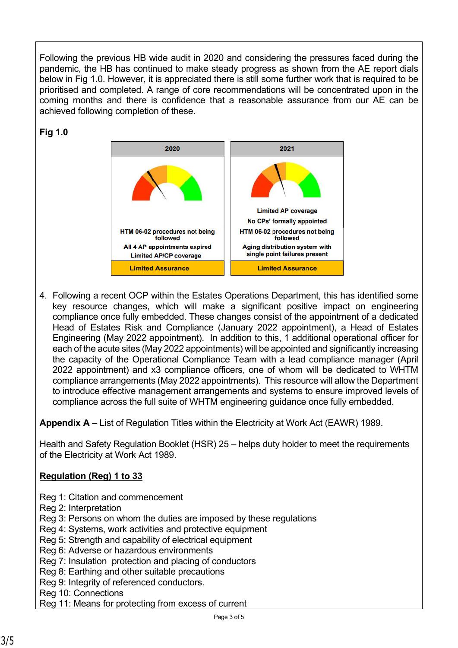Following the previous HB wide audit in 2020 and considering the pressures faced during the pandemic, the HB has continued to make steady progress as shown from the AE report dials below in Fig 1.0. However, it is appreciated there is still some further work that is required to be prioritised and completed. A range of core recommendations will be concentrated upon in the coming months and there is confidence that a reasonable assurance from our AE can be achieved following completion of these.

# **Fig 1.0**



4. Following a recent OCP within the Estates Operations Department, this has identified some key resource changes, which will make a significant positive impact on engineering compliance once fully embedded. These changes consist of the appointment of a dedicated Head of Estates Risk and Compliance (January 2022 appointment), a Head of Estates Engineering (May 2022 appointment). In addition to this, 1 additional operational officer for each of the acute sites (May 2022 appointments) will be appointed and significantly increasing the capacity of the Operational Compliance Team with a lead compliance manager (April 2022 appointment) and x3 compliance officers, one of whom will be dedicated to WHTM compliance arrangements (May 2022 appointments). This resource will allow the Department to introduce effective management arrangements and systems to ensure improved levels of compliance across the full suite of WHTM engineering guidance once fully embedded.

**Appendix A** – List of Regulation Titles within the Electricity at Work Act (EAWR) 1989.

Health and Safety Regulation Booklet (HSR) 25 – helps duty holder to meet the requirements of the Electricity at Work Act 1989.

# **Regulation (Reg) 1 to 33**

- Reg 1: Citation and commencement
- Reg 2: Interpretation
- Reg 3: Persons on whom the duties are imposed by these regulations
- Reg 4: Systems, work activities and protective equipment
- Reg 5: Strength and capability of electrical equipment
- Reg 6: Adverse or hazardous environments
- Reg 7: Insulation protection and placing of conductors
- Reg 8: Earthing and other suitable precautions
- Reg 9: Integrity of referenced conductors.
- Reg 10: Connections
- Reg 11: Means for protecting from excess of current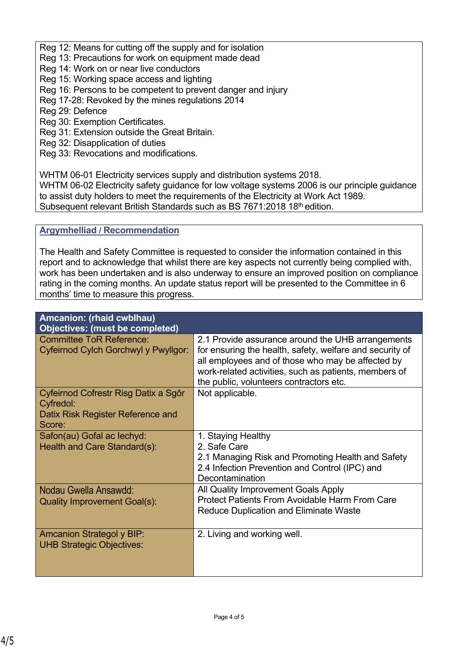Reg 12: Means for cutting off the supply and for isolation

- Reg 13: Precautions for work on equipment made dead
- Reg 14: Work on or near live conductors
- Reg 15: Working space access and lighting
- Reg 16: Persons to be competent to prevent danger and injury
- Reg 17-28: Revoked by the mines regulations 2014
- Reg 29: Defence
- Reg 30: Exemption Certificates.
- Reg 31: Extension outside the Great Britain.
- Reg 32: Disapplication of duties
- Reg 33: Revocations and modifications.

WHTM 06-01 Electricity services supply and distribution systems 2018.

WHTM 06-02 Electricity safety guidance for low voltage systems 2006 is our principle guidance to assist duty holders to meet the requirements of the Electricity at Work Act 1989. Subsequent relevant British Standards such as BS 7671:2018 18<sup>th</sup> edition.

## **Argymhelliad / Recommendation**

The Health and Safety Committee is requested to consider the information contained in this report and to acknowledge that whilst there are key aspects not currently being complied with, work has been undertaken and is also underway to ensure an improved position on compliance rating in the coming months. An update status report will be presented to the Committee in 6 months' time to measure this progress.

| Amcanion: (rhaid cwblhau)<br><b>Objectives: (must be completed)</b>                              |                                                                                                                                                                                                                                                                        |
|--------------------------------------------------------------------------------------------------|------------------------------------------------------------------------------------------------------------------------------------------------------------------------------------------------------------------------------------------------------------------------|
| Committee ToR Reference:<br>Cyfeirnod Cylch Gorchwyl y Pwyllgor:                                 | 2.1 Provide assurance around the UHB arrangements<br>for ensuring the health, safety, welfare and security of<br>all employees and of those who may be affected by<br>work-related activities, such as patients, members of<br>the public, volunteers contractors etc. |
| Cyfeirnod Cofrestr Risg Datix a Sgôr<br>Cyfredol:<br>Datix Risk Register Reference and<br>Score: | Not applicable.                                                                                                                                                                                                                                                        |
| Safon(au) Gofal ac lechyd:<br>Health and Care Standard(s):                                       | 1. Staying Healthy<br>2. Safe Care<br>2.1 Managing Risk and Promoting Health and Safety<br>2.4 Infection Prevention and Control (IPC) and<br>Decontamination                                                                                                           |
| Nodau Gwella Ansawdd:<br><b>Quality Improvement Goal(s):</b>                                     | All Quality Improvement Goals Apply<br><b>Protect Patients From Avoidable Harm From Care</b><br><b>Reduce Duplication and Eliminate Waste</b>                                                                                                                          |
| <b>Amcanion Strategol y BIP:</b><br><b>UHB Strategic Objectives:</b>                             | 2. Living and working well.                                                                                                                                                                                                                                            |